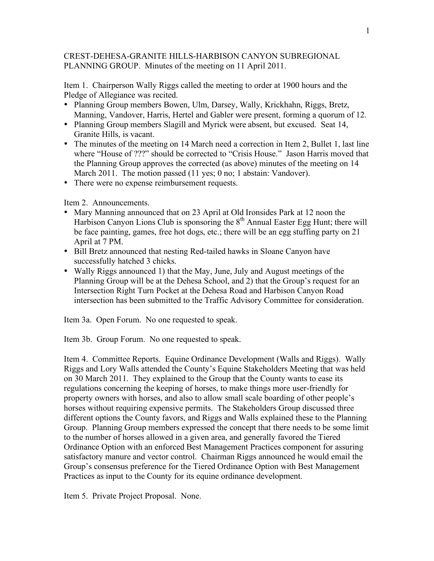## CREST-DEHESA-GRANITE HILLS-HARBISON CANYON SUBREGIONAL PLANNING GROUP. Minutes of the meeting on 11 April 2011.

Item 1. Chairperson Wally Riggs called the meeting to order at 1900 hours and the Pledge of Allegiance was recited.

- Planning Group members Bowen, Ulm, Darsey, Wally, Krickhahn, Riggs, Bretz, Manning, Vandover, Harris, Hertel and Gabler were present, forming a quorum of 12.
- Planning Group members Slagill and Myrick were absent, but excused. Seat 14, Granite Hills, is vacant.
- The minutes of the meeting on 14 March need a correction in Item 2, Bullet 1, last line where "House of ???" should be corrected to "Crisis House." Jason Harris moved that the Planning Group approves the corrected (as above) minutes of the meeting on 14 March 2011. The motion passed (11 yes; 0 no; 1 abstain: Vandover).
- There were no expense reimbursement requests.

Item 2. Announcements.

- Mary Manning announced that on 23 April at Old Ironsides Park at 12 noon the Harbison Canyon Lions Club is sponsoring the  $8<sup>th</sup>$  Annual Easter Egg Hunt; there will be face painting, games, free hot dogs, etc.; there will be an egg stuffing party on 21 April at 7 PM.
- Bill Bretz announced that nesting Red-tailed hawks in Sloane Canyon have successfully hatched 3 chicks.
- Wally Riggs announced 1) that the May, June, July and August meetings of the Planning Group will be at the Dehesa School, and 2) that the Group's request for an Intersection Right Turn Pocket at the Dehesa Road and Harbison Canyon Road intersection has been submitted to the Traffic Advisory Committee for consideration.

Item 3a. Open Forum. No one requested to speak.

Item 3b. Group Forum. No one requested to speak.

Item 4. Committee Reports. Equine Ordinance Development (Walls and Riggs). Wally Riggs and Lory Walls attended the County's Equine Stakeholders Meeting that was held on 30 March 2011. They explained to the Group that the County wants to ease its regulations concerning the keeping of horses, to make things more user-friendly for property owners with horses, and also to allow small scale boarding of other people's horses without requiring expensive permits. The Stakeholders Group discussed three different options the County favors, and Riggs and Walls explained these to the Planning Group. Planning Group members expressed the concept that there needs to be some limit to the number of horses allowed in a given area, and generally favored the Tiered Ordinance Option with an enforced Best Management Practices component for assuring satisfactory manure and vector control. Chairman Riggs announced he would email the Group's consensus preference for the Tiered Ordinance Option with Best Management Practices as input to the County for its equine ordinance development.

Item 5. Private Project Proposal. None.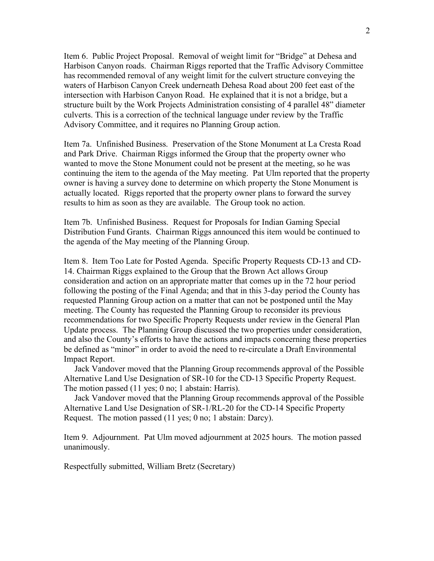Item 6. Public Project Proposal. Removal of weight limit for "Bridge" at Dehesa and Harbison Canyon roads. Chairman Riggs reported that the Traffic Advisory Committee has recommended removal of any weight limit for the culvert structure conveying the waters of Harbison Canyon Creek underneath Dehesa Road about 200 feet east of the intersection with Harbison Canyon Road. He explained that it is not a bridge, but a structure built by the Work Projects Administration consisting of 4 parallel 48" diameter culverts. This is a correction of the technical language under review by the Traffic Advisory Committee, and it requires no Planning Group action.

Item 7a. Unfinished Business. Preservation of the Stone Monument at La Cresta Road and Park Drive. Chairman Riggs informed the Group that the property owner who wanted to move the Stone Monument could not be present at the meeting, so he was continuing the item to the agenda of the May meeting. Pat Ulm reported that the property owner is having a survey done to determine on which property the Stone Monument is actually located. Riggs reported that the property owner plans to forward the survey results to him as soon as they are available. The Group took no action.

Item 7b. Unfinished Business. Request for Proposals for Indian Gaming Special Distribution Fund Grants. Chairman Riggs announced this item would be continued to the agenda of the May meeting of the Planning Group.

Item 8. Item Too Late for Posted Agenda. Specific Property Requests CD-13 and CD-14. Chairman Riggs explained to the Group that the Brown Act allows Group consideration and action on an appropriate matter that comes up in the 72 hour period following the posting of the Final Agenda; and that in this 3-day period the County has requested Planning Group action on a matter that can not be postponed until the May meeting. The County has requested the Planning Group to reconsider its previous recommendations for two Specific Property Requests under review in the General Plan Update process. The Planning Group discussed the two properties under consideration, and also the County's efforts to have the actions and impacts concerning these properties be defined as "minor" in order to avoid the need to re-circulate a Draft Environmental Impact Report.

Jack Vandover moved that the Planning Group recommends approval of the Possible Alternative Land Use Designation of SR-10 for the CD-13 Specific Property Request. The motion passed (11 yes; 0 no; 1 abstain: Harris).

Jack Vandover moved that the Planning Group recommends approval of the Possible Alternative Land Use Designation of SR-1/RL-20 for the CD-14 Specific Property Request. The motion passed (11 yes; 0 no; 1 abstain: Darcy).

Item 9. Adjournment. Pat Ulm moved adjournment at 2025 hours. The motion passed unanimously.

Respectfully submitted, William Bretz (Secretary)